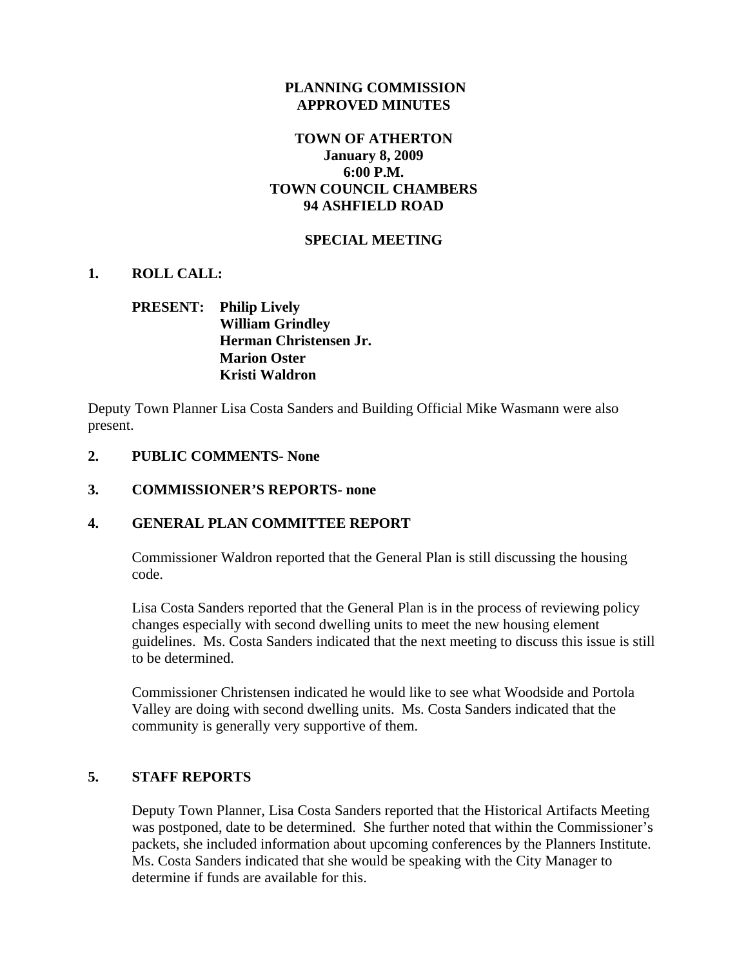# **PLANNING COMMISSION APPROVED MINUTES**

# **TOWN OF ATHERTON January 8, 2009 6:00 P.M. TOWN COUNCIL CHAMBERS 94 ASHFIELD ROAD**

# **SPECIAL MEETING**

# **1. ROLL CALL:**

# **PRESENT: Philip Lively William Grindley Herman Christensen Jr. Marion Oster Kristi Waldron**

Deputy Town Planner Lisa Costa Sanders and Building Official Mike Wasmann were also present.

#### **2. PUBLIC COMMENTS- None**

### **3. COMMISSIONER'S REPORTS- none**

### **4. GENERAL PLAN COMMITTEE REPORT**

Commissioner Waldron reported that the General Plan is still discussing the housing code.

Lisa Costa Sanders reported that the General Plan is in the process of reviewing policy changes especially with second dwelling units to meet the new housing element guidelines. Ms. Costa Sanders indicated that the next meeting to discuss this issue is still to be determined.

Commissioner Christensen indicated he would like to see what Woodside and Portola Valley are doing with second dwelling units. Ms. Costa Sanders indicated that the community is generally very supportive of them.

#### **5. STAFF REPORTS**

Deputy Town Planner, Lisa Costa Sanders reported that the Historical Artifacts Meeting was postponed, date to be determined. She further noted that within the Commissioner's packets, she included information about upcoming conferences by the Planners Institute. Ms. Costa Sanders indicated that she would be speaking with the City Manager to determine if funds are available for this.